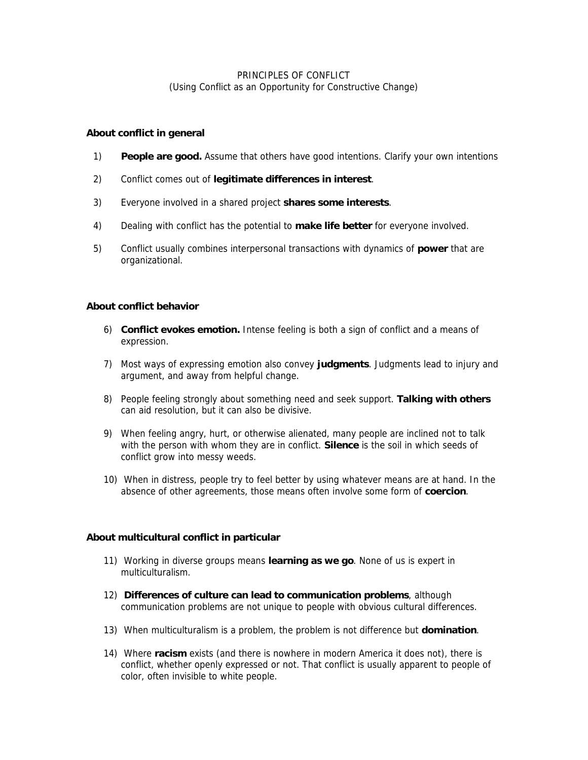## PRINCIPLES OF CONFLICT (Using Conflict as an Opportunity for Constructive Change)

### **About conflict in general**

- 1) **People are good.** Assume that others have good intentions. Clarify your own intentions
- 2) Conflict comes out of **legitimate differences in interest**.
- 3) Everyone involved in a shared project **shares some interests**.
- 4) Dealing with conflict has the potential to **make life better** for everyone involved.
- 5) Conflict usually combines interpersonal transactions with dynamics of **power** that are organizational.

#### **About conflict behavior**

- 6) **Conflict evokes emotion.** Intense feeling is both a sign of conflict and a means of expression.
- 7) Most ways of expressing emotion also convey **judgments**. Judgments lead to injury and argument, and away from helpful change.
- 8) People feeling strongly about something need and seek support. **Talking with others** can aid resolution, but it can also be divisive.
- 9) When feeling angry, hurt, or otherwise alienated, many people are inclined not to talk with the person with whom they are in conflict. **Silence** is the soil in which seeds of conflict grow into messy weeds.
- 10) When in distress, people try to feel better by using whatever means are at hand. In the absence of other agreements, those means often involve some form of **coercion**.

### **About multicultural conflict in particular**

- 11) Working in diverse groups means **learning as we go**. None of us is expert in multiculturalism.
- 12) **Differences of culture can lead to communication problems**, although communication problems are not unique to people with obvious cultural differences.
- 13) When multiculturalism is a problem, the problem is not difference but **domination**.
- 14) Where **racism** exists (and there is nowhere in modern America it does not), there is conflict, whether openly expressed or not. That conflict is usually apparent to people of color, often invisible to white people.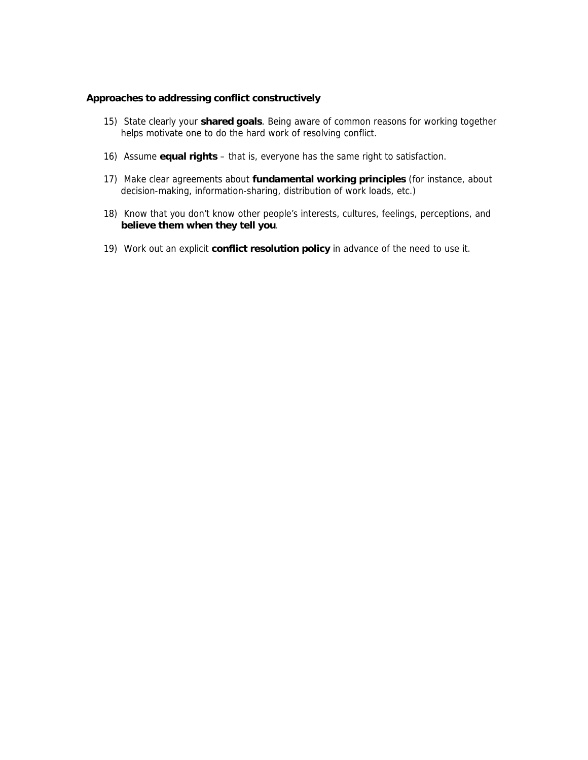### **Approaches to addressing conflict constructively**

- 15) State clearly your **shared goals**. Being aware of common reasons for working together helps motivate one to do the hard work of resolving conflict.
- 16) Assume **equal rights** that is, everyone has the same right to satisfaction.
- 17) Make clear agreements about **fundamental working principles** (for instance, about decision-making, information-sharing, distribution of work loads, etc.)
- 18) Know that you don't know other people's interests, cultures, feelings, perceptions, and **believe them when they tell you**.
- 19) Work out an explicit **conflict resolution policy** in advance of the need to use it.